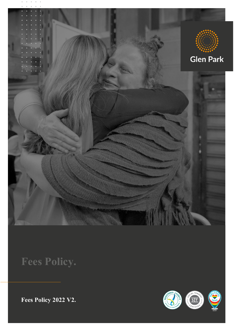

**Fees Policy.**

**Fees Policy 2022 V2.**

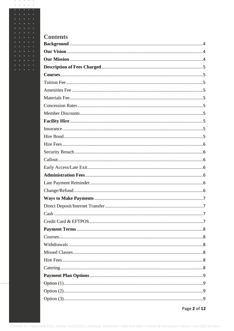| <b>Contents</b> |
|-----------------|
|                 |
|                 |
|                 |
|                 |
|                 |
|                 |
|                 |
|                 |
|                 |
|                 |
|                 |
|                 |
|                 |
|                 |
|                 |
|                 |
|                 |
|                 |
|                 |
|                 |
|                 |
|                 |
|                 |
|                 |
|                 |
|                 |
|                 |
|                 |
|                 |
|                 |
|                 |
|                 |
|                 |
|                 |
|                 |

 $\alpha=\alpha=\alpha=\alpha=\alpha$  $\cdots$ 

 $\ddot{\phantom{0}}$ 

 $\bullet$ 

 $\ddot{\phantom{0}}$  $\cdot$ 

Page 2 of 12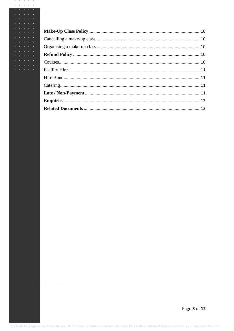$\alpha=\alpha=\alpha=\alpha=\alpha$  $\cdots$ 

 $\ddot{\phantom{0}}$ 

 $\bullet$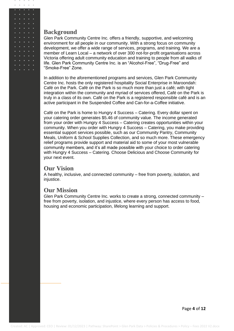## <span id="page-3-0"></span>**Background**

 $\mathbf{a} \qquad \mathbf{a} \qquad \mathbf{a} \qquad \mathbf{a} \qquad \mathbf{a}$ 

Glen Park Community Centre Inc. offers a friendly, supportive, and welcoming environment for all people in our community. With a strong focus on community development, we offer a wide range of services, programs, and training. We are a member of Learn Local – a network of over 300 not-for-profit organisations across Victoria offering adult community education and training to people from all walks of life. Glen Park Community Centre Inc. is an "Alcohol-Free", "Drug-Free" and "Smoke-Free" Zone.

In addition to the aforementioned programs and services, Glen Park Community Centre Inc. hosts the only registered hospitality Social Enterprise in Maroondah: Café on the Park. Café on the Park is so much more than just a café; with tight integration within the community and myriad of services offered, Café on the Park is truly in a class of its own. Café on the Park is a registered responsible café and is an active participant in the Suspended Coffee and Can-for-a-Coffee initiative.

Café on the Park is home to Hungry 4 Success – Catering. Every dollar spent on your catering order generates \$5.46 of community value. The income generated from your order with Hungry 4 Success – Catering creates opportunities within your community. When you order with Hungry 4 Success – Catering, you make providing essential support services possible, such as our Community Pantry, Community Meals, Uniform & School Supplies Collection, and so much more. These emergency relief programs provide support and material aid to some of your most vulnerable community members, and it's all made possible with your choice to order catering with Hungry 4 Success – Catering. Choose Delicious and Choose Community for your next event.

# <span id="page-3-1"></span>**Our Vision**

A healthy, inclusive, and connected community – free from poverty, isolation, and injustice.

# <span id="page-3-2"></span>**Our Mission**

Glen Park Community Centre Inc. works to create a strong, connected community – free from poverty, isolation, and injustice, where every person has access to food, housing and economic participation, lifelong learning and support.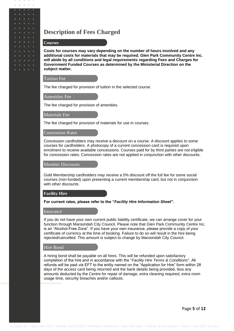# <span id="page-4-0"></span>**Description of Fees Charged**

## <span id="page-4-1"></span>**Courses**

 $\sim$  $\alpha$  $\sim$ 

> **Costs for courses may vary depending on the number of hours involved and any additional costs for materials that may be required. Glen Park Community Centre Inc. will abide by all conditions and legal requirements regarding Fees and Charges for Government Funded Courses as determined by the Ministerial Direction on the subject matter.**

#### <span id="page-4-2"></span>Tuition Fee

<span id="page-4-3"></span>The fee charged for provision of tuition in the selected course.

#### Amenities Fee

<span id="page-4-4"></span>The fee charged for provision of amenities.

#### Materials Fee

<span id="page-4-5"></span>The fee charged for provision of materials for use in courses.

### Concession Rates

Concession cardholders may receive a discount on a course. A discount applies to some courses for cardholders. A photocopy of a current concession card is required upon enrolment to receive available concessions. Courses paid for by third parties are not eligible for concession rates. Concession rates are not applied in conjunction with other discounts.

#### <span id="page-4-6"></span>Member Discounts

Gold Membership cardholders may receive a 5% discount off the full fee for some social courses (non-funded) upon presenting a current membership card, but not in conjunction with other discounts.

#### <span id="page-4-7"></span>**Facility Hire**

#### <span id="page-4-8"></span>**For current rates, please refer to the "***Facility Hire Information Sheet***".**

#### **Insurance**

If you do not have your own current public liability certificate, we can arrange cover for your function through Maroondah City Council. Please note that Glen Park Community Centre Inc. is an "Alcohol-Free Zone". If you have your own insurance, please provide a copy of your certificate of currency at the time of booking. Failure to do so will result in the hire being rejected/cancelled. This amount is subject to change by Maroondah City Council.

### <span id="page-4-9"></span>Hire Bond

A hiring bond shall be payable on all hires. This will be refunded upon satisfactory completion of the hire and in accordance with the "*Facility Hire Terms & Conditions*". All refunds will be paid via EFT to the entity named on the "Application for Hire" form within 28 days of the access card being returned and the bank details being provided, less any amounts deducted by the Centre for repair of damage, extra cleaning required, extra room usage time, security breaches and/or callouts.

Page **5** of **12**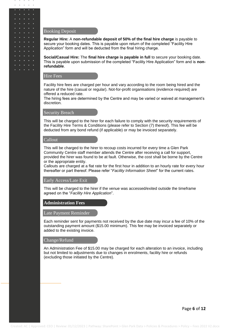### Booking Deposit

 $\alpha$  $\alpha$  $\sim$ 

> **Regular Hire:** A **non-refundable deposit of 50% of the final hire charge** is payable to secure your booking dates. This is payable upon return of the completed "Facility Hire Application" form and will be deducted from the final hiring charge.

**Social/Casual Hire:** The **final hire charge is payable in full** to secure your booking date. This is payable upon submission of the completed "Facility Hire Application" form and is **nonrefundable**.

## <span id="page-5-0"></span>Hire Fees

Facility hire fees are charged per hour and vary according to the room being hired and the nature of the hire (casual or regular). Not-for-profit organisations (evidence required) are offered a reduced rate.

The hiring fees are determined by the Centre and may be varied or waived at management's discretion.

## <span id="page-5-1"></span>**Security Breach**

This will be charged to the hirer for each failure to comply with the security requirements of the Facility Hire Terms & Conditions (please refer to Section (7) thereof). This fee will be deducted from any bond refund (if applicable) or may be invoiced separately.

## <span id="page-5-2"></span>Callout

This will be charged to the hirer to recoup costs incurred for every time a Glen Park Community Centre staff member attends the Centre after receiving a call for support, provided the hirer was found to be at fault. Otherwise, the cost shall be borne by the Centre or the appropriate entity.

Callouts are charged at a flat rate for the first hour in addition to an hourly rate for every hour thereafter or part thereof. Please refer "*Facility Information Sheet*" for the current rates.

#### <span id="page-5-3"></span>Early Access/Late Exit

This will be charged to the hirer if the venue was accessed/exited outside the timeframe agreed on the "*Facility Hire Application*".

### <span id="page-5-5"></span><span id="page-5-4"></span>**Administration Fees**

#### Late Payment Reminder

Each reminder sent for payments not received by the due date may incur a fee of 10% of the outstanding payment amount (\$15.00 minimum). This fee may be invoiced separately or added to the existing invoice.

### <span id="page-5-6"></span>Change/Refund

An Administration Fee of \$15.00 may be charged for each alteration to an invoice, including but not limited to adjustments due to changes in enrolments, facility hire or refunds (excluding those initiated by the Centre).

Page **6** of **12**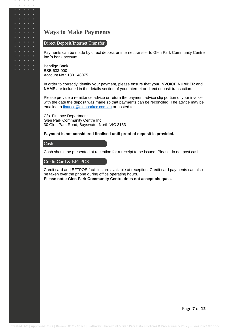# <span id="page-6-0"></span>**Ways to Make Payments**

## <span id="page-6-1"></span>Direct Deposit/Internet Transfer

Payments can be made by direct deposit or internet transfer to Glen Park Community Centre Inc.'s bank account:

Bendigo Bank BSB 633-000 Account No.: 1301 48075

In order to correctly identify your payment, please ensure that your **INVOICE NUMBER** and **NAME** are included in the details section of your internet or direct deposit transaction.

Please provide a remittance advice or return the payment advice slip portion of your invoice with the date the deposit was made so that payments can be reconciled. The advice may be emailed to [finance@glenparkcc.com.au](mailto:finance@glenparkcc.com.au) or posted to:

C/o. Finance Department Glen Park Community Centre Inc. 30 Glen Park Road, Bayswater North VIC 3153

### <span id="page-6-2"></span>**Payment is not considered finalised until proof of deposit is provided.**

## Cash

 $\mathbf{a} \qquad \mathbf{a} \qquad \mathbf{a} \qquad \mathbf{a} \qquad \mathbf{a}$ 

 $\alpha$ 

 $\ddot{\phantom{0}}$ 

<span id="page-6-3"></span>Cash should be presented at reception for a receipt to be issued. Please do not post cash.

## Credit Card & EFTPOS

Credit card and EFTPOS facilities are available at reception. Credit card payments can also be taken over the phone during office operating hours. **Please note: Glen Park Community Centre does not accept cheques.**

Page **7** of **12**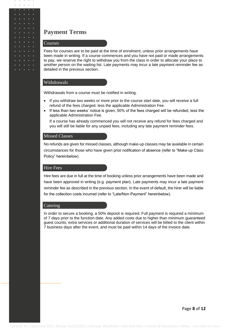## <span id="page-7-0"></span>**Payment Terms**

### <span id="page-7-1"></span>**Courses**

 $\alpha$  $\sim$  $\alpha$ 

> Fees for courses are to be paid at the time of enrolment, unless prior arrangements have been made in writing. If a course commences and you have not paid or made arrangements to pay, we reserve the right to withdraw you from the class in order to allocate your place to another person on the waiting list. Late payments may incur a late payment reminder fee as detailed in the previous section.

### <span id="page-7-2"></span>Withdrawals

Withdrawals from a course must be notified in writing.

- If you withdraw two weeks or more prior to the course start date, you will receive a full refund of the fees charged, less the applicable Administration Fee.
- If less than two weeks' notice is given, 50% of the fees charged will be refunded, less the applicable Administration Fee.

If a course has already commenced you will not receive any refund for fees charged and you will still be liable for any unpaid fees, including any late payment reminder fees.

### <span id="page-7-3"></span>Missed Classes

No refunds are given for missed classes, although make-up classes may be available in certain circumstances for those who have given prior notification of absence (refer to "Make-up Class Policy" hereinbelow).

#### <span id="page-7-4"></span>Hire Fees

Hire fees are due in full at the time of booking unless prior arrangements have been made and have been approved in writing (e.g. payment plan). Late payments may incur a late payment reminder fee as described in the previous section. In the event of default, the hirer will be liable for the collection costs incurred (refer to "Late/Non-Payment" hereinbelow).

#### <span id="page-7-5"></span>Catering

In order to secure a booking, a 50% deposit is required. Full payment is required a minimum of 7 days prior to the function date. Any added costs due to higher than minimum guaranteed guest counts, extra services or additional duration of services will be billed to the client within 7 business days after the event, and must be paid within 14 days of the invoice date.

Page **8** of **12**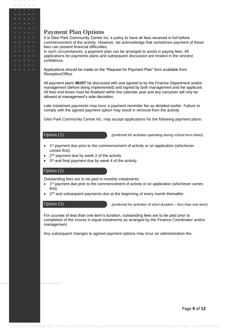## <span id="page-8-0"></span>**Payment Plan Options**

It is Glen Park Community Centre Inc.'s policy to have all fees received in full before commencement of the activity. However, we acknowledge that sometimes payment of these fees can present financial difficulties.

In such circumstances, a payment plan can be arranged to assist in paying fees. All applications for payments plans and subsequent discussion are treated in the strictest confidence.

Applications should be made on the "Request for Payment Plan" form available from Reception/Office.

All payment plans **MUST** be discussed with and agreed to by the Finance Department and/or management (before being implemented) and signed by both management and the applicant. All fees and levies must be finalised within the calendar year and any carryover will only be allowed at management's sole discretion.

Late instalment payments may incur a payment reminder fee as detailed earlier. Failure to comply with the agreed payment option may result in removal from the activity.

Glen Park Community Centre Inc. may accept applications for the following payment plans:

## <span id="page-8-1"></span>Option (1)

 $\alpha$  .  $\alpha$  .  $\alpha$ 

*(preferred for activities operating during school term times)*

- 1<sup>st</sup> payment due prior to the commencement of activity or on application (whichever comes first).
- 2<sup>nd</sup> payment due by week 2 of the activity.
- 3<sup>rd</sup> and final payment due by week 4 of the activity.

## <span id="page-8-2"></span>Option (2)

Outstanding fees are to be paid in monthly instalments:

- 1<sup>st</sup> payment due prior to the commencement of activity or on application (whichever comes first).
- 2<sup>nd</sup> and subsequent payments due at the beginning of every month thereafter.

## <span id="page-8-3"></span>Option (3)

*(preferred for activities of short duration – less than one term)*

For courses of less than one term's duration, outstanding fees are to be paid prior to completion of the course in equal instalments as arranged by the Finance Coordinator and/or management.

Any subsequent changes to agreed payment options may incur an administration fee.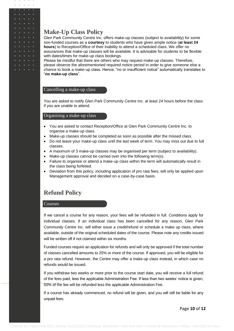## <span id="page-9-0"></span>**Make-Up Class Policy**

 $\sim$  $\alpha$  $\alpha$ 

> Glen Park Community Centre Inc. offers make-up classes (subject to availability) for some non-funded courses as a **courtesy** to students who have given ample notice (**at least 24 hours**) to Reception/Office of their inability to attend a scheduled class. We offer no assurances that make-up classes will be available. It is advisable for students to be flexible with dates/times for make-up class bookings.

Please be mindful that there are others who may request make-up classes. Therefore, please observe the aforementioned required notice period in order to give someone else a chance to book a make-up class. Hence, "no or insufficient notice" automatically translates to "**no make-up class**".

## <span id="page-9-1"></span>Cancelling a make-up class

You are asked to notify Glen Park Community Centre Inc. at least 24 hours before the class if you are unable to attend.

## <span id="page-9-2"></span>Organising a make-up class

- You are asked to contact Reception/Office at Glen Park Community Centre Inc. to organise a make-up class.
- Make-up classes should be completed as soon as possible after the missed class.
- Do not leave your make-up class until the last week of term. You may miss out due to full classes.
- A maximum of 3 make-up classes may be organised per term (subject to availability).
- Make-up classes cannot be carried over into the following term(s).
- Failure to organise or attend a make-up class within the term will automatically result in the class being forfeited.
- Deviation from this policy, including application of pro rata fees, will only be applied upon Management approval and decided on a case-by-case basis.

# <span id="page-9-3"></span>**Refund Policy**

### <span id="page-9-4"></span>Courses

If we cancel a course for any reason, your fees will be refunded in full. Conditions apply for individual classes. If an individual class has been cancelled for any reason, Glen Park Community Centre Inc. will either issue a credit/refund or schedule a make up class, where available, outside of the original scheduled dates of the course. Please note any credits issued will be written off if not claimed within six months.

Funded courses require an application for refunds and will only be approved if the total number of classes cancelled amounts to 25% or more of the course. If approved, you will be eligible for a pro rata refund. However, the Centre may offer a make-up class instead, in which case no refunds would be issued.

If you withdraw two weeks or more prior to the course start date, you will receive a full refund of the fees paid, less the applicable Administration Fee. If less than two weeks' notice is given, 50% of the fee will be refunded less the applicable Administration Fee.

If a course has already commenced, no refund will be given, and you will still be liable for any unpaid fees.

Page **10** of **12**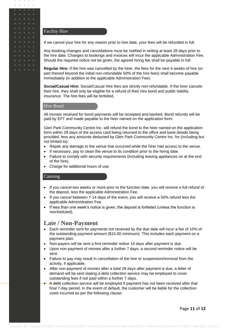### <span id="page-10-0"></span>Facility Hire

 $\sim$  $\alpha$  .  $\alpha$ 

If we cancel your hire for any reason prior to hire date, your fees will be refunded in full.

Any booking changes and cancellations must be notified in writing at least 28 days prior to the hire date. Changes to bookings and invoices will incur the applicable Administration Fee. Should the required notice not be given, the agreed hiring fee shall be payable in full.

**Regular Hire:** If the hire was cancelled by the hirer, the fees for the next 4 weeks of hire (or part thereof beyond the initial non-refundable 50% of the hire fees) shall become payable immediately (in addition to the applicable Administration Fee).

**Social/Casual Hire:** Social/Casual Hire fees are strictly non-refundable. If the hirer cancels their hire, they shall only be eligible for a refund of their hire bond and public liability insurance. The hire fees will be forfeited.

## <span id="page-10-1"></span>Hire Bond

All monies received for bond payments will be receipted and banked. Bond refunds will be paid by EFT and made payable to the hirer named on the application form.

Glen Park Community Centre Inc. will refund the bond to the hirer named on the application form within 28 days of the access card being returned to the office and bank details being provided, less any amounts deducted by Glen Park Community Centre Inc. for (including but not limited to):

- Repair any damage to the venue that occurred while the hirer had access to the venue.
- If necessary, pay to clean the venue to its condition prior to the hiring date.
- Failure to comply with security requirements (including leaving appliances on at the end of the hire).
- Charge for additional hours of use.

#### <span id="page-10-2"></span>Catering

- If you cancel two weeks or more prior to the function date, you will receive a full refund of the deposit, less the applicable Administration Fee.
- If you cancel between 7-14 days of the event, you will receive a 50% refund less the applicable Administration Fee.
- If less than one week's notice is given, the deposit is forfeited (unless the function is rescheduled).

## <span id="page-10-3"></span>**Late / Non-Payment**

- Each reminder sent for payments not received by the due date will incur a fee of 10% of the outstanding payment amount (\$15.00 minimum). This includes each payment on a payment plan.
- Non-payers will be sent a first reminder notice 14 days after payment is due.
- Upon non-payment of monies after a further 7 days, a second reminder notice will be sent.
- Failure to pay may result in cancellation of the hire or suspension/removal from the activity, if applicable.
- After non-payment of monies after a total 28 days after payment is due, a letter of demand will be sent stating a debt collection service may be employed to cover outstanding fees if not paid within a further 7 days.
- A debt collection service will be employed if payment has not been received after that final 7-day period. In the event of default, the customer will be liable for the collection costs incurred as per the following clause:

Page **11** of **12**